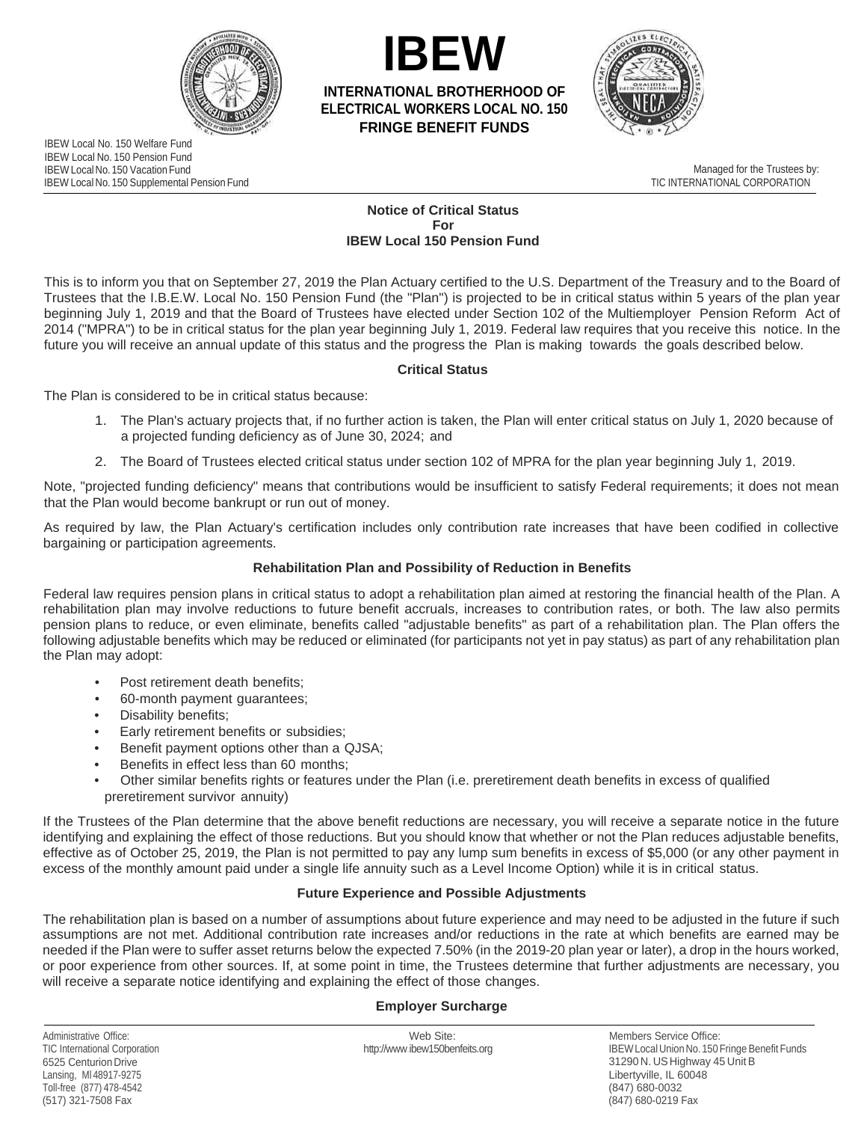



**INTERNATIONAL BROTHERHOOD OF ELECTRICAL WORKERS LOCAL NO. 150 FRINGE BENEFIT FUNDS** 



 IBEW Local No. 150 Pension Fund IBEW Local No. 150 Vacation Fund IBEW Local No. 150 Supplemental Pension Fund IBEW Local No. 150 Welfare Fund

 Managed for the Trustees by: TIC INTERNATIONAL CORPORATION

#### **Notice of Critical Status IBEW Local 150 Pension Fund For**

 Trustees that the I.B.E.W. Local No. 150 Pension Fund (the "Plan") is projected to be in critical status within 5 years of the plan year 2014 ("MPRA") to be in critical status for the plan year beginning July 1, 2019. Federal law requires that you receive this notice. In the future you will receive an annual update of this status and the progress the Plan is making towards the goals described below. This is to inform you that on September 27, 2019 the Plan Actuary certified to the U.S. Department of the Treasury and to the Board of beginning July 1, 2019 and that the Board of Trustees have elected under Section 102 of the Multiemployer Pension Reform Act of

# **Critical Status**

The Plan is considered to be in critical status because:

- 1. The Plan's actuary projects that, if no further action is taken, the Plan will enter critical status on July 1, 2020 because of a projected funding deficiency as of June 30, 2024; and
- 2. The Board of Trustees elected critical status under section 102 of MPRA for the plan year beginning July 1, 2019.

 Note, "projected funding deficiency" means that contributions would be insufficient to satisfy Federal requirements; it does not mean that the Plan would become bankrupt or run out of money.

As required by law, the Plan Actuary's certification includes only contribution rate increases that have been codified in collective bargaining or participation agreements.

## **Rehabilitation Plan and Possibility of Reduction in Benefits**

 Federal law requires pension plans in critical status to adopt a rehabilitation plan aimed at restoring the financial health of the Plan. A rehabilitation plan may involve reductions to future benefit accruals, increases to contribution rates, or both. The law also permits pension plans to reduce, or even eliminate, benefits called "adjustable benefits" as part of a rehabilitation plan. The Plan offers the following adjustable benefits which may be reduced or eliminated (for participants not yet in pay status) as part of any rehabilitation plan the Plan may adopt:

- Post retirement death benefits;
- 60-month payment guarantees;
- Disability benefits;
- Early retirement benefits or subsidies;
- Benefit payment options other than a QJSA;
- Benefits in effect less than 60 months;
- • Other similar benefits rights or features under the Plan (i.e. preretirement death benefits in excess of qualified preretirement survivor annuity)

 If the Trustees of the Plan determine that the above benefit reductions are necessary, you will receive a separate notice in the future effective as of October 25, 2019, the Plan is not permitted to pay any lump sum benefits in excess of \$5,000 (or any other payment in excess of the monthly amount paid under a single life annuity such as a Level Income Option) while it is in critical status. identifying and explaining the effect of those reductions. But you should know that whether or not the Plan reduces adjustable benefits,

## **Future Experience and Possible Adjustments**

 needed if the Plan were to suffer asset returns below the expected 7.50% (in the 2019-20 plan year or later), a drop in the hours worked, will receive a separate notice identifying and explaining the effect of those changes. The rehabilitation plan is based on a number of assumptions about future experience and may need to be adjusted in the future if such assumptions are not met. Additional contribution rate increases and/or reductions in the rate at which benefits are earned may be or poor experience from other sources. If, at some point in time, the Trustees determine that further adjustments are necessary, you

#### **Employer Surcharge**

TIC International Corporation 6525 Centurion Drive Lansing, Ml 48917-9275 Toll-free (877) 478-4542 (517) 321-7508 Fax

Administrative Office: Members Service Office: New York Site: Members Service Office: New York Site: Members Service Office: